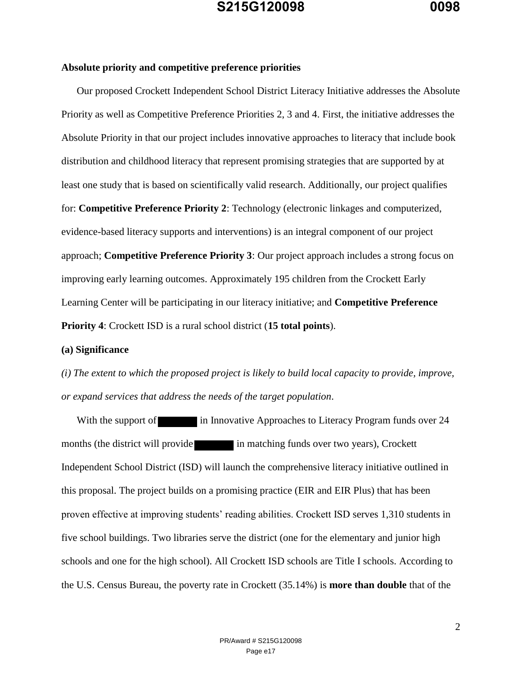#### **Absolute priority and competitive preference priorities**

 Our proposed Crockett Independent School District Literacy Initiative addresses the Absolute Priority as well as Competitive Preference Priorities 2, 3 and 4. First, the initiative addresses the Absolute Priority in that our project includes innovative approaches to literacy that include book distribution and childhood literacy that represent promising strategies that are supported by at least one study that is based on scientifically valid research. Additionally, our project qualifies for: **Competitive Preference Priority 2**: Technology (electronic linkages and computerized, evidence-based literacy supports and interventions) is an integral component of our project approach; **Competitive Preference Priority 3**: Our project approach includes a strong focus on improving early learning outcomes. Approximately 195 children from the Crockett Early Learning Center will be participating in our literacy initiative; and **Competitive Preference Priority 4**: Crockett ISD is a rural school district (**15 total points**).

#### **(a) Significance**

*(i) The extent to which the proposed project is likely to build local capacity to provide, improve, or expand services that address the needs of the target population*.

With the support of in Innovative Approaches to Literacy Program funds over 24 months (the district will provide in matching funds over two years), Crockett Independent School District (ISD) will launch the comprehensive literacy initiative outlined in this proposal. The project builds on a promising practice (EIR and EIR Plus) that has been proven effective at improving students' reading abilities. Crockett ISD serves 1,310 students in five school buildings. Two libraries serve the district (one for the elementary and junior high schools and one for the high school). All Crockett ISD schools are Title I schools. According to the U.S. Census Bureau, the poverty rate in Crockett (35.14%) is **more than double** that of the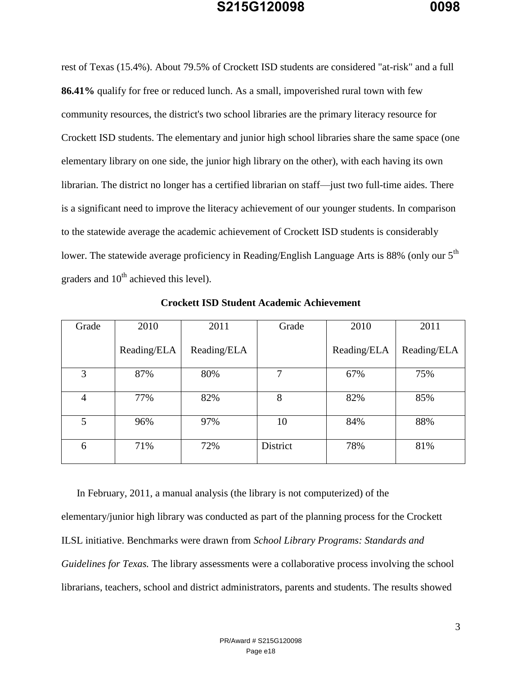rest of Texas (15.4%). About 79.5% of Crockett ISD students are considered "at-risk" and a full **86.41%** qualify for free or reduced lunch. As a small, impoverished rural town with few community resources, the district's two school libraries are the primary literacy resource for Crockett ISD students. The elementary and junior high school libraries share the same space (one elementary library on one side, the junior high library on the other), with each having its own librarian. The district no longer has a certified librarian on staff—just two full-time aides. There is a significant need to improve the literacy achievement of our younger students. In comparison to the statewide average the academic achievement of Crockett ISD students is considerably lower. The statewide average proficiency in Reading/English Language Arts is 88% (only our 5<sup>th</sup>) graders and  $10<sup>th</sup>$  achieved this level).

| Grade | 2010        | 2011        | Grade    | 2010        | 2011        |
|-------|-------------|-------------|----------|-------------|-------------|
|       | Reading/ELA | Reading/ELA |          | Reading/ELA | Reading/ELA |
| 3     | 87%         | 80%         | 7        | 67%         | 75%         |
|       |             |             |          |             |             |
| 4     | 77%         | 82%         | 8        | 82%         | 85%         |
|       |             |             |          |             |             |
| 5     | 96%         | 97%         | 10       | 84%         | 88%         |
| 6     | 71%         | 72%         | District | 78%         | 81%         |

**Crockett ISD Student Academic Achievement**

In February, 2011, a manual analysis (the library is not computerized) of the elementary/junior high library was conducted as part of the planning process for the Crockett ILSL initiative. Benchmarks were drawn from *School Library Programs: Standards and Guidelines for Texas.* The library assessments were a collaborative process involving the school librarians, teachers, school and district administrators, parents and students. The results showed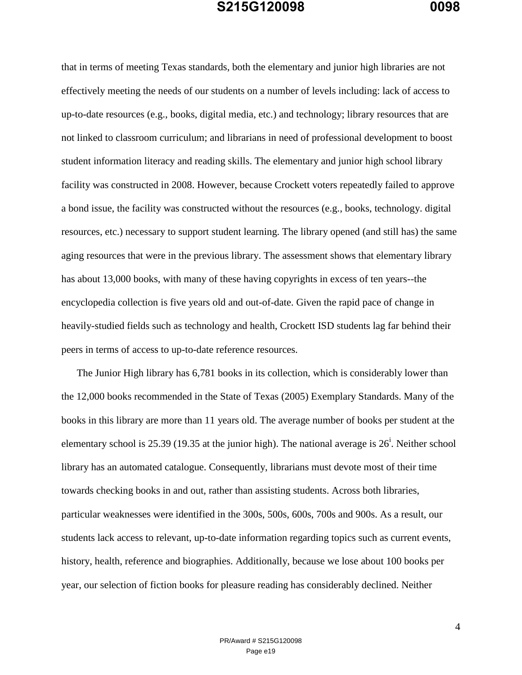that in terms of meeting Texas standards, both the elementary and junior high libraries are not effectively meeting the needs of our students on a number of levels including: lack of access to up-to-date resources (e.g., books, digital media, etc.) and technology; library resources that are not linked to classroom curriculum; and librarians in need of professional development to boost student information literacy and reading skills. The elementary and junior high school library facility was constructed in 2008. However, because Crockett voters repeatedly failed to approve a bond issue, the facility was constructed without the resources (e.g., books, technology. digital resources, etc.) necessary to support student learning. The library opened (and still has) the same aging resources that were in the previous library. The assessment shows that elementary library has about 13,000 books, with many of these having copyrights in excess of ten years--the encyclopedia collection is five years old and out-of-date. Given the rapid pace of change in heavily-studied fields such as technology and health, Crockett ISD students lag far behind their peers in terms of access to up-to-date reference resources.

The Junior High library has 6,781 books in its collection, which is considerably lower than the 12,000 books recommended in the State of Texas (2005) Exemplary Standards. Many of the books in this library are more than 11 years old. The average number of books per student at the elementary school is 25.39 (19.35 at the junior high). The national average is  $26^{\circ}$ . Neither school library has an automated catalogue. Consequently, librarians must devote most of their time towards checking books in and out, rather than assisting students. Across both libraries, particular weaknesses were identified in the 300s, 500s, 600s, 700s and 900s. As a result, our students lack access to relevant, up-to-date information regarding topics such as current events, history, health, reference and biographies. Additionally, because we lose about 100 books per year, our selection of fiction books for pleasure reading has considerably declined. Neither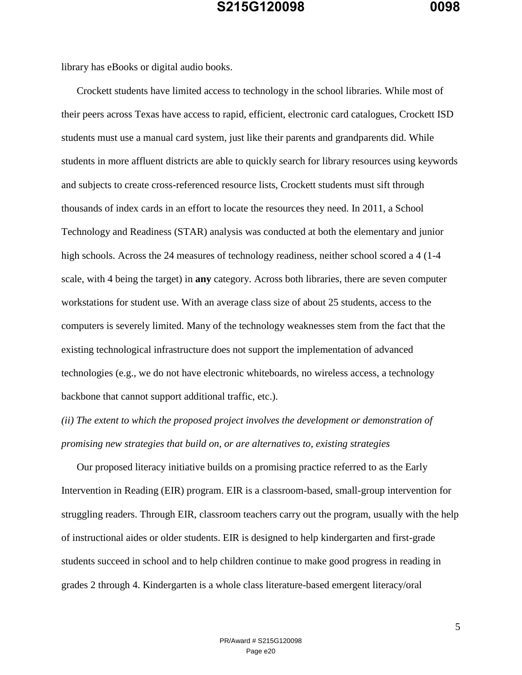library has eBooks or digital audio books.

Crockett students have limited access to technology in the school libraries. While most of their peers across Texas have access to rapid, efficient, electronic card catalogues, Crockett ISD students must use a manual card system, just like their parents and grandparents did. While students in more affluent districts are able to quickly search for library resources using keywords and subjects to create cross-referenced resource lists, Crockett students must sift through thousands of index cards in an effort to locate the resources they need. In 2011, a School Technology and Readiness (STAR) analysis was conducted at both the elementary and junior high schools. Across the 24 measures of technology readiness, neither school scored a 4 (1-4) scale, with 4 being the target) in **any** category. Across both libraries, there are seven computer workstations for student use. With an average class size of about 25 students, access to the computers is severely limited. Many of the technology weaknesses stem from the fact that the existing technological infrastructure does not support the implementation of advanced technologies (e.g., we do not have electronic whiteboards, no wireless access, a technology backbone that cannot support additional traffic, etc.).

*(ii) The extent to which the proposed project involves the development or demonstration of promising new strategies that build on, or are alternatives to, existing strategies*

Our proposed literacy initiative builds on a promising practice referred to as the Early Intervention in Reading (EIR) program. EIR is a classroom-based, small-group intervention for struggling readers. Through EIR, classroom teachers carry out the program, usually with the help of instructional aides or older students. EIR is designed to help kindergarten and first-grade students succeed in school and to help children continue to make good progress in reading in grades 2 through 4. Kindergarten is a whole class literature-based emergent literacy/oral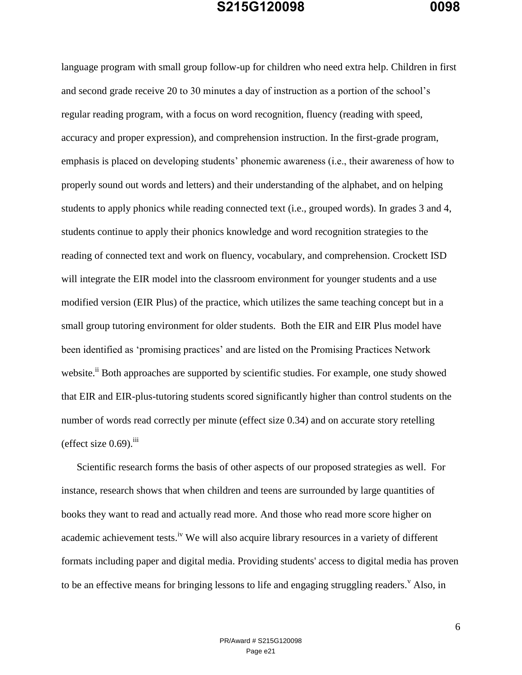language program with small group follow-up for children who need extra help. Children in first and second grade receive 20 to 30 minutes a day of instruction as a portion of the school's regular reading program, with a focus on word recognition, fluency (reading with speed, accuracy and proper expression), and comprehension instruction. In the first-grade program, emphasis is placed on developing students' phonemic awareness (i.e., their awareness of how to properly sound out words and letters) and their understanding of the alphabet, and on helping students to apply phonics while reading connected text (i.e., grouped words). In grades 3 and 4, students continue to apply their phonics knowledge and word recognition strategies to the reading of connected text and work on fluency, vocabulary, and comprehension. Crockett ISD will integrate the EIR model into the classroom environment for younger students and a use modified version (EIR Plus) of the practice, which utilizes the same teaching concept but in a small group tutoring environment for older students. Both the EIR and EIR Plus model have been identified as 'promising practices' and are listed on the Promising Practices Network website.<sup>ii</sup> Both approaches are supported by scientific studies. For example, one study showed that EIR and EIR-plus-tutoring students scored significantly higher than control students on the number of words read correctly per minute (effect size 0.34) and on accurate story retelling (effect size  $0.69$ ).<sup>iii</sup>

Scientific research forms the basis of other aspects of our proposed strategies as well. For instance, research shows that when children and teens are surrounded by large quantities of books they want to read and actually read more. And those who read more score higher on academic achievement tests.<sup>iv</sup> We will also acquire library resources in a variety of different formats including paper and digital media. Providing students' access to digital media has proven to be an effective means for bringing lessons to life and engaging struggling readers.<sup>v</sup> Also, in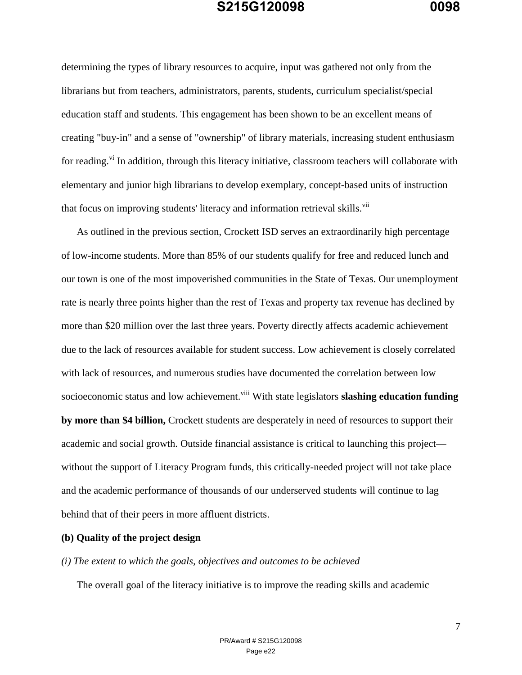determining the types of library resources to acquire, input was gathered not only from the librarians but from teachers, administrators, parents, students, curriculum specialist/special education staff and students. This engagement has been shown to be an excellent means of creating "buy-in" and a sense of "ownership" of library materials, increasing student enthusiasm for reading.<sup>vi</sup> In addition, through this literacy initiative, classroom teachers will collaborate with elementary and junior high librarians to develop exemplary, concept-based units of instruction that focus on improving students' literacy and information retrieval skills.<sup>vii</sup>

As outlined in the previous section, Crockett ISD serves an extraordinarily high percentage of low-income students. More than 85% of our students qualify for free and reduced lunch and our town is one of the most impoverished communities in the State of Texas. Our unemployment rate is nearly three points higher than the rest of Texas and property tax revenue has declined by more than \$20 million over the last three years. Poverty directly affects academic achievement due to the lack of resources available for student success. Low achievement is closely correlated with lack of resources, and numerous studies have documented the correlation between low socioeconomic status and low achievement.<sup>viii</sup> With state legislators **slashing education funding by more than \$4 billion,** Crockett students are desperately in need of resources to support their academic and social growth. Outside financial assistance is critical to launching this project without the support of Literacy Program funds, this critically-needed project will not take place and the academic performance of thousands of our underserved students will continue to lag behind that of their peers in more affluent districts.

#### **(b) Quality of the project design**

#### *(i) The extent to which the goals, objectives and outcomes to be achieved*

The overall goal of the literacy initiative is to improve the reading skills and academic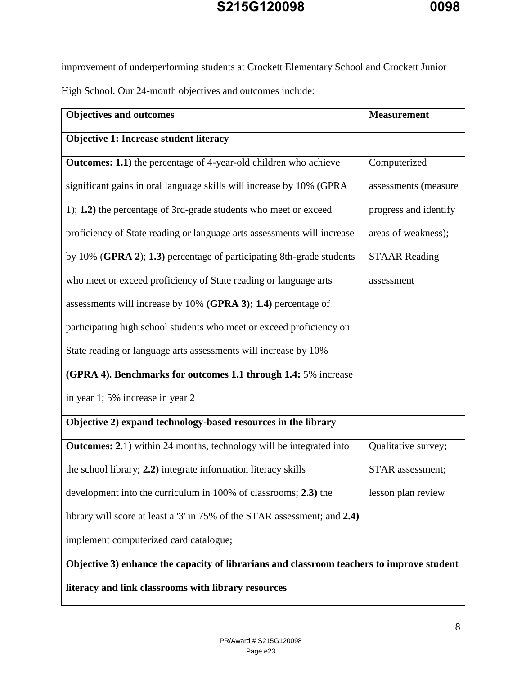improvement of underperforming students at Crockett Elementary School and Crockett Junior High School. Our 24-month objectives and outcomes include:

| <b>Objectives and outcomes</b>                                                            | <b>Measurement</b>    |  |  |
|-------------------------------------------------------------------------------------------|-----------------------|--|--|
| <b>Objective 1: Increase student literacy</b>                                             |                       |  |  |
| <b>Outcomes: 1.1</b> ) the percentage of 4-year-old children who achieve                  | Computerized          |  |  |
| significant gains in oral language skills will increase by 10% (GPRA                      | assessments (measure  |  |  |
| 1); 1.2) the percentage of 3rd-grade students who meet or exceed                          | progress and identify |  |  |
| proficiency of State reading or language arts assessments will increase                   | areas of weakness);   |  |  |
| by 10% (GPRA 2); 1.3) percentage of participating 8th-grade students                      | <b>STAAR Reading</b>  |  |  |
| who meet or exceed proficiency of State reading or language arts                          | assessment            |  |  |
| assessments will increase by 10% (GPRA 3); 1.4) percentage of                             |                       |  |  |
| participating high school students who meet or exceed proficiency on                      |                       |  |  |
| State reading or language arts assessments will increase by 10%                           |                       |  |  |
| (GPRA 4). Benchmarks for outcomes 1.1 through 1.4: 5% increase                            |                       |  |  |
| in year 1; 5% increase in year 2                                                          |                       |  |  |
| Objective 2) expand technology-based resources in the library                             |                       |  |  |
| <b>Outcomes: 2.1)</b> within 24 months, technology will be integrated into                | Qualitative survey;   |  |  |
| the school library; 2.2) integrate information literacy skills                            | STAR assessment;      |  |  |
| development into the curriculum in 100% of classrooms; 2.3) the                           | lesson plan review    |  |  |
| library will score at least a '3' in 75% of the STAR assessment; and 2.4)                 |                       |  |  |
| implement computerized card catalogue;                                                    |                       |  |  |
| Objective 3) enhance the capacity of librarians and classroom teachers to improve student |                       |  |  |
| literacy and link classrooms with library resources                                       |                       |  |  |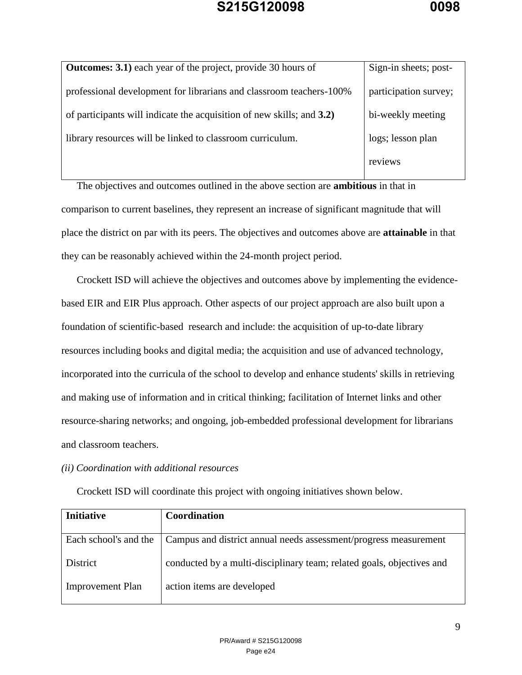

| <b>Outcomes: 3.1</b> ) each year of the project, provide 30 hours of  | Sign-in sheets; post- |
|-----------------------------------------------------------------------|-----------------------|
| professional development for librarians and classroom teachers-100%   | participation survey; |
| of participants will indicate the acquisition of new skills; and 3.2) | bi-weekly meeting     |
| library resources will be linked to classroom curriculum.             | logs; lesson plan     |
|                                                                       | reviews               |

The objectives and outcomes outlined in the above section are **ambitious** in that in comparison to current baselines, they represent an increase of significant magnitude that will place the district on par with its peers. The objectives and outcomes above are **attainable** in that they can be reasonably achieved within the 24-month project period.

Crockett ISD will achieve the objectives and outcomes above by implementing the evidencebased EIR and EIR Plus approach. Other aspects of our project approach are also built upon a foundation of scientific-based research and include: the acquisition of up-to-date library resources including books and digital media; the acquisition and use of advanced technology, incorporated into the curricula of the school to develop and enhance students' skills in retrieving and making use of information and in critical thinking; facilitation of Internet links and other resource-sharing networks; and ongoing, job-embedded professional development for librarians and classroom teachers.

#### *(ii) Coordination with additional resources*

| <b>Initiative</b>       | Coordination                                                          |
|-------------------------|-----------------------------------------------------------------------|
| Each school's and the   | Campus and district annual needs assessment/progress measurement      |
| <b>District</b>         | conducted by a multi-disciplinary team; related goals, objectives and |
| <b>Improvement Plan</b> | action items are developed                                            |

Crockett ISD will coordinate this project with ongoing initiatives shown below.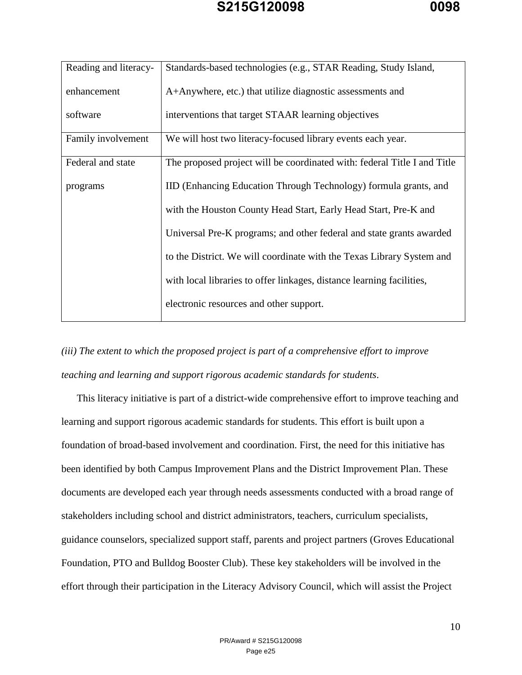| Reading and literacy- | Standards-based technologies (e.g., STAR Reading, Study Island,          |
|-----------------------|--------------------------------------------------------------------------|
| enhancement           | A+Anywhere, etc.) that utilize diagnostic assessments and                |
| software              | interventions that target STAAR learning objectives                      |
| Family involvement    | We will host two literacy-focused library events each year.              |
| Federal and state     | The proposed project will be coordinated with: federal Title I and Title |
| programs              | IID (Enhancing Education Through Technology) formula grants, and         |
|                       | with the Houston County Head Start, Early Head Start, Pre-K and          |
|                       | Universal Pre-K programs; and other federal and state grants awarded     |
|                       | to the District. We will coordinate with the Texas Library System and    |
|                       | with local libraries to offer linkages, distance learning facilities,    |
|                       | electronic resources and other support.                                  |

*(iii) The extent to which the proposed project is part of a comprehensive effort to improve teaching and learning and support rigorous academic standards for students*.

This literacy initiative is part of a district-wide comprehensive effort to improve teaching and learning and support rigorous academic standards for students. This effort is built upon a foundation of broad-based involvement and coordination. First, the need for this initiative has been identified by both Campus Improvement Plans and the District Improvement Plan. These documents are developed each year through needs assessments conducted with a broad range of stakeholders including school and district administrators, teachers, curriculum specialists, guidance counselors, specialized support staff, parents and project partners (Groves Educational Foundation, PTO and Bulldog Booster Club). These key stakeholders will be involved in the effort through their participation in the Literacy Advisory Council, which will assist the Project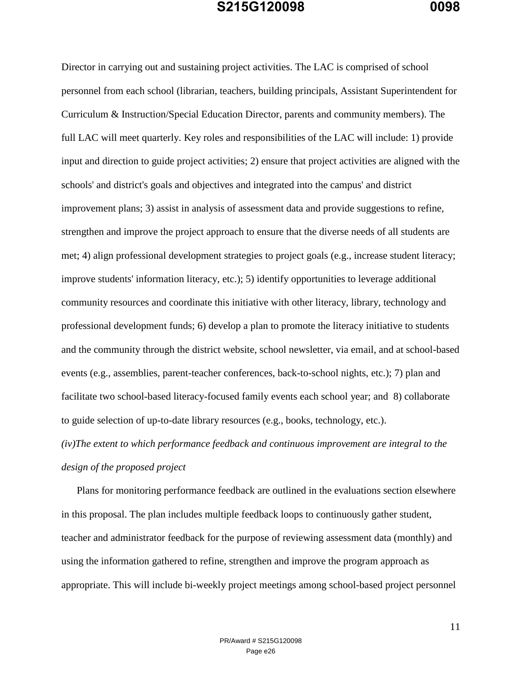Director in carrying out and sustaining project activities. The LAC is comprised of school personnel from each school (librarian, teachers, building principals, Assistant Superintendent for Curriculum & Instruction/Special Education Director, parents and community members). The full LAC will meet quarterly. Key roles and responsibilities of the LAC will include: 1) provide input and direction to guide project activities; 2) ensure that project activities are aligned with the schools' and district's goals and objectives and integrated into the campus' and district improvement plans; 3) assist in analysis of assessment data and provide suggestions to refine, strengthen and improve the project approach to ensure that the diverse needs of all students are met; 4) align professional development strategies to project goals (e.g., increase student literacy; improve students' information literacy, etc.); 5) identify opportunities to leverage additional community resources and coordinate this initiative with other literacy, library, technology and professional development funds; 6) develop a plan to promote the literacy initiative to students and the community through the district website, school newsletter, via email, and at school-based events (e.g., assemblies, parent-teacher conferences, back-to-school nights, etc.); 7) plan and facilitate two school-based literacy-focused family events each school year; and 8) collaborate to guide selection of up-to-date library resources (e.g., books, technology, etc.).

*(iv)The extent to which performance feedback and continuous improvement are integral to the design of the proposed project*

Plans for monitoring performance feedback are outlined in the evaluations section elsewhere in this proposal. The plan includes multiple feedback loops to continuously gather student, teacher and administrator feedback for the purpose of reviewing assessment data (monthly) and using the information gathered to refine, strengthen and improve the program approach as appropriate. This will include bi-weekly project meetings among school-based project personnel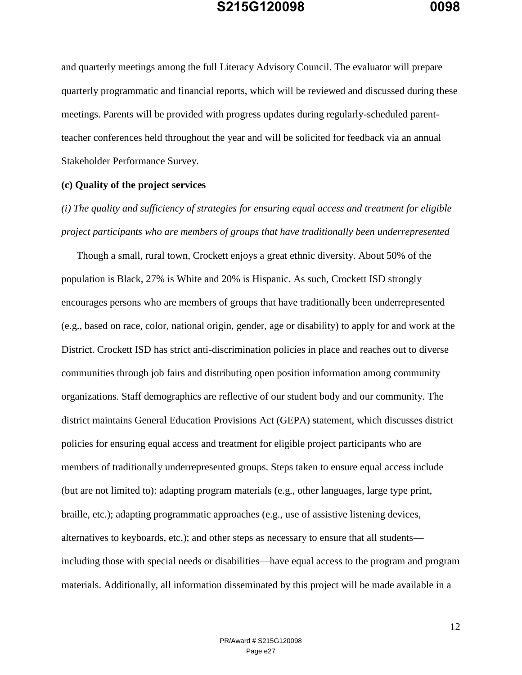and quarterly meetings among the full Literacy Advisory Council. The evaluator will prepare quarterly programmatic and financial reports, which will be reviewed and discussed during these meetings. Parents will be provided with progress updates during regularly-scheduled parentteacher conferences held throughout the year and will be solicited for feedback via an annual Stakeholder Performance Survey.

#### **(c) Quality of the project services**

*(i) The quality and sufficiency of strategies for ensuring equal access and treatment for eligible project participants who are members of groups that have traditionally been underrepresented* 

Though a small, rural town, Crockett enjoys a great ethnic diversity. About 50% of the population is Black, 27% is White and 20% is Hispanic. As such, Crockett ISD strongly encourages persons who are members of groups that have traditionally been underrepresented (e.g., based on race, color, national origin, gender, age or disability) to apply for and work at the District. Crockett ISD has strict anti-discrimination policies in place and reaches out to diverse communities through job fairs and distributing open position information among community organizations. Staff demographics are reflective of our student body and our community. The district maintains General Education Provisions Act (GEPA) statement, which discusses district policies for ensuring equal access and treatment for eligible project participants who are members of traditionally underrepresented groups. Steps taken to ensure equal access include (but are not limited to): adapting program materials (e.g., other languages, large type print, braille, etc.); adapting programmatic approaches (e.g., use of assistive listening devices, alternatives to keyboards, etc.); and other steps as necessary to ensure that all students including those with special needs or disabilities—have equal access to the program and program materials. Additionally, all information disseminated by this project will be made available in a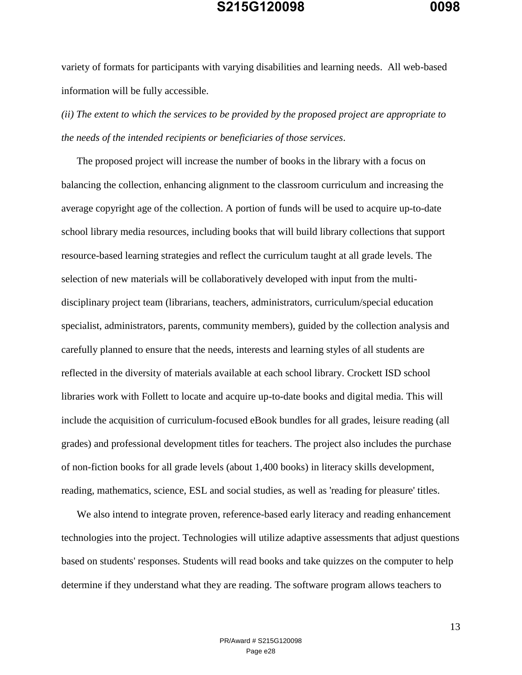

variety of formats for participants with varying disabilities and learning needs. All web-based information will be fully accessible.

*(ii) The extent to which the services to be provided by the proposed project are appropriate to the needs of the intended recipients or beneficiaries of those services*.

The proposed project will increase the number of books in the library with a focus on balancing the collection, enhancing alignment to the classroom curriculum and increasing the average copyright age of the collection. A portion of funds will be used to acquire up-to-date school library media resources, including books that will build library collections that support resource-based learning strategies and reflect the curriculum taught at all grade levels. The selection of new materials will be collaboratively developed with input from the multidisciplinary project team (librarians, teachers, administrators, curriculum/special education specialist, administrators, parents, community members), guided by the collection analysis and carefully planned to ensure that the needs, interests and learning styles of all students are reflected in the diversity of materials available at each school library. Crockett ISD school libraries work with Follett to locate and acquire up-to-date books and digital media. This will include the acquisition of curriculum-focused eBook bundles for all grades, leisure reading (all grades) and professional development titles for teachers. The project also includes the purchase of non-fiction books for all grade levels (about 1,400 books) in literacy skills development, reading, mathematics, science, ESL and social studies, as well as 'reading for pleasure' titles.

We also intend to integrate proven, reference-based early literacy and reading enhancement technologies into the project. Technologies will utilize adaptive assessments that adjust questions based on students' responses. Students will read books and take quizzes on the computer to help determine if they understand what they are reading. The software program allows teachers to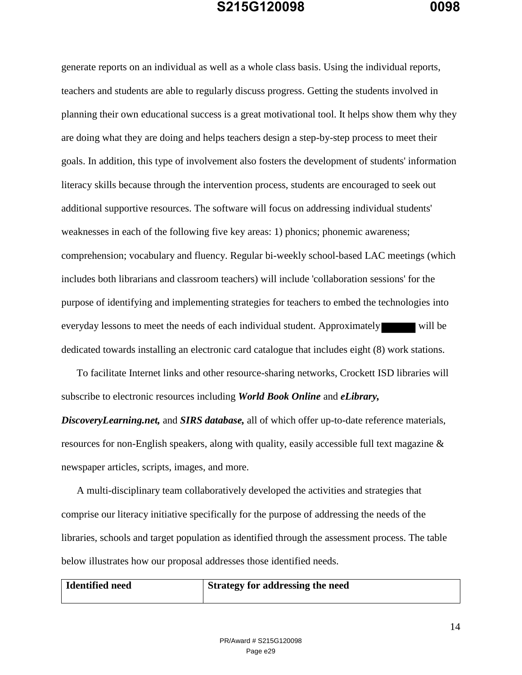generate reports on an individual as well as a whole class basis. Using the individual reports, teachers and students are able to regularly discuss progress. Getting the students involved in planning their own educational success is a great motivational tool. It helps show them why they are doing what they are doing and helps teachers design a step-by-step process to meet their goals. In addition, this type of involvement also fosters the development of students' information literacy skills because through the intervention process, students are encouraged to seek out additional supportive resources. The software will focus on addressing individual students' weaknesses in each of the following five key areas: 1) phonics; phonemic awareness; comprehension; vocabulary and fluency. Regular bi-weekly school-based LAC meetings (which includes both librarians and classroom teachers) will include 'collaboration sessions' for the purpose of identifying and implementing strategies for teachers to embed the technologies into everyday lessons to meet the needs of each individual student. Approximately will be dedicated towards installing an electronic card catalogue that includes eight (8) work stations.

 To facilitate Internet links and other resource-sharing networks, Crockett ISD libraries will subscribe to electronic resources including *World Book Online* and *eLibrary,* 

*DiscoveryLearning.net,* and *SIRS database,* all of which offer up-to-date reference materials, resources for non-English speakers, along with quality, easily accessible full text magazine & newspaper articles, scripts, images, and more.

 A multi-disciplinary team collaboratively developed the activities and strategies that comprise our literacy initiative specifically for the purpose of addressing the needs of the libraries, schools and target population as identified through the assessment process. The table below illustrates how our proposal addresses those identified needs.

| <b>Identified need</b> | <b>Strategy for addressing the need</b> |
|------------------------|-----------------------------------------|
|                        |                                         |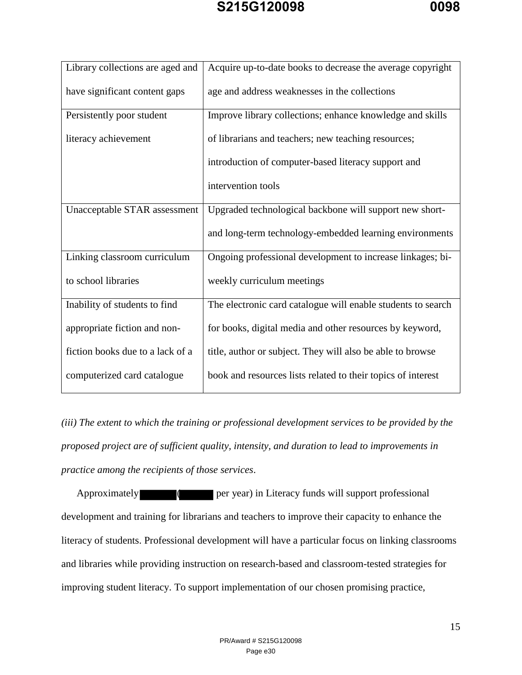

| Library collections are aged and | Acquire up-to-date books to decrease the average copyright   |
|----------------------------------|--------------------------------------------------------------|
| have significant content gaps    | age and address weaknesses in the collections                |
| Persistently poor student        | Improve library collections; enhance knowledge and skills    |
| literacy achievement             | of librarians and teachers; new teaching resources;          |
|                                  | introduction of computer-based literacy support and          |
|                                  | intervention tools                                           |
| Unacceptable STAR assessment     | Upgraded technological backbone will support new short-      |
|                                  | and long-term technology-embedded learning environments      |
| Linking classroom curriculum     | Ongoing professional development to increase linkages; bi-   |
| to school libraries              | weekly curriculum meetings                                   |
| Inability of students to find    | The electronic card catalogue will enable students to search |
| appropriate fiction and non-     | for books, digital media and other resources by keyword,     |
| fiction books due to a lack of a | title, author or subject. They will also be able to browse   |
| computerized card catalogue      | book and resources lists related to their topics of interest |

*(iii) The extent to which the training or professional development services to be provided by the proposed project are of sufficient quality, intensity, and duration to lead to improvements in practice among the recipients of those services*.

Approximately **Come of the same of the set of the set of the set of the set of the set of the set of the set of the set of the set of the set of the set of the set of the set of the set of the set of the set of the set of** development and training for librarians and teachers to improve their capacity to enhance the literacy of students. Professional development will have a particular focus on linking classrooms and libraries while providing instruction on research-based and classroom-tested strategies for improving student literacy. To support implementation of our chosen promising practice,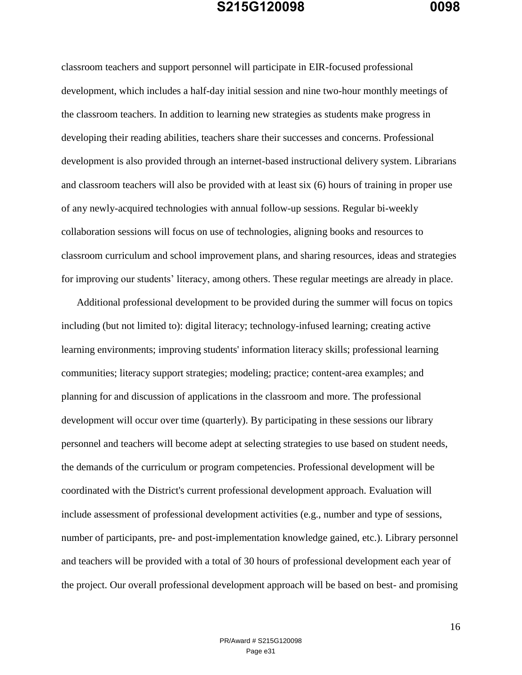classroom teachers and support personnel will participate in EIR-focused professional development, which includes a half-day initial session and nine two-hour monthly meetings of the classroom teachers. In addition to learning new strategies as students make progress in developing their reading abilities, teachers share their successes and concerns. Professional development is also provided through an internet-based instructional delivery system. Librarians and classroom teachers will also be provided with at least six (6) hours of training in proper use of any newly-acquired technologies with annual follow-up sessions. Regular bi-weekly collaboration sessions will focus on use of technologies, aligning books and resources to classroom curriculum and school improvement plans, and sharing resources, ideas and strategies for improving our students' literacy, among others. These regular meetings are already in place.

Additional professional development to be provided during the summer will focus on topics including (but not limited to): digital literacy; technology-infused learning; creating active learning environments; improving students' information literacy skills; professional learning communities; literacy support strategies; modeling; practice; content-area examples; and planning for and discussion of applications in the classroom and more. The professional development will occur over time (quarterly). By participating in these sessions our library personnel and teachers will become adept at selecting strategies to use based on student needs, the demands of the curriculum or program competencies. Professional development will be coordinated with the District's current professional development approach. Evaluation will include assessment of professional development activities (e.g., number and type of sessions, number of participants, pre- and post-implementation knowledge gained, etc.). Library personnel and teachers will be provided with a total of 30 hours of professional development each year of the project. Our overall professional development approach will be based on best- and promising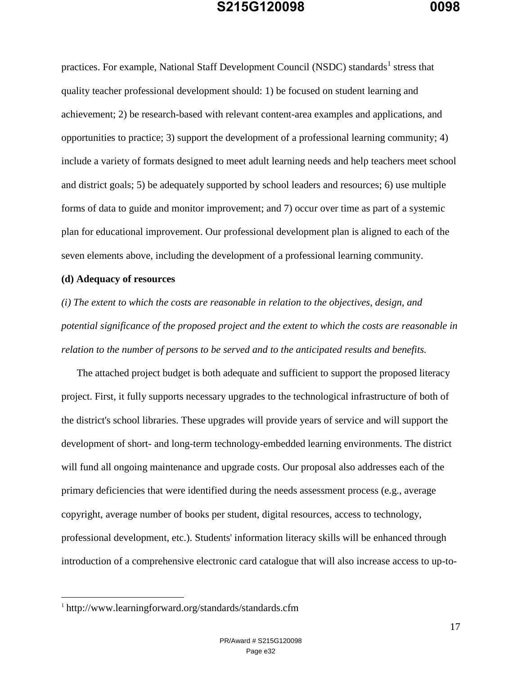practices. For example, National Staff Development Council (NSDC) standards<sup>1</sup> stress that quality teacher professional development should: 1) be focused on student learning and achievement; 2) be research-based with relevant content-area examples and applications, and opportunities to practice; 3) support the development of a professional learning community; 4) include a variety of formats designed to meet adult learning needs and help teachers meet school and district goals; 5) be adequately supported by school leaders and resources; 6) use multiple forms of data to guide and monitor improvement; and 7) occur over time as part of a systemic plan for educational improvement. Our professional development plan is aligned to each of the seven elements above, including the development of a professional learning community.

#### **(d) Adequacy of resources**

 $\overline{\phantom{a}}$ 

*(i) The extent to which the costs are reasonable in relation to the objectives, design, and potential significance of the proposed project and the extent to which the costs are reasonable in relation to the number of persons to be served and to the anticipated results and benefits.*

The attached project budget is both adequate and sufficient to support the proposed literacy project. First, it fully supports necessary upgrades to the technological infrastructure of both of the district's school libraries. These upgrades will provide years of service and will support the development of short- and long-term technology-embedded learning environments. The district will fund all ongoing maintenance and upgrade costs. Our proposal also addresses each of the primary deficiencies that were identified during the needs assessment process (e.g., average copyright, average number of books per student, digital resources, access to technology, professional development, etc.). Students' information literacy skills will be enhanced through introduction of a comprehensive electronic card catalogue that will also increase access to up-to-

<sup>1</sup> http://www.learningforward.org/standards/standards.cfm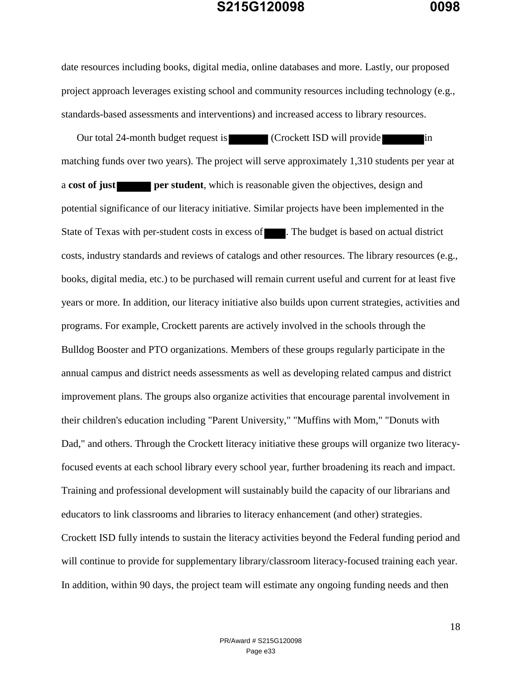date resources including books, digital media, online databases and more. Lastly, our proposed project approach leverages existing school and community resources including technology (e.g., standards-based assessments and interventions) and increased access to library resources.

Our total 24-month budget request is (Crockett ISD will provide in matching funds over two years). The project will serve approximately 1,310 students per year at a **cost of just per student**, which is reasonable given the objectives, design and potential significance of our literacy initiative. Similar projects have been implemented in the State of Texas with per-student costs in excess of **The budget** is based on actual district costs, industry standards and reviews of catalogs and other resources. The library resources (e.g., books, digital media, etc.) to be purchased will remain current useful and current for at least five years or more. In addition, our literacy initiative also builds upon current strategies, activities and programs. For example, Crockett parents are actively involved in the schools through the Bulldog Booster and PTO organizations. Members of these groups regularly participate in the annual campus and district needs assessments as well as developing related campus and district improvement plans. The groups also organize activities that encourage parental involvement in their children's education including "Parent University," "Muffins with Mom," "Donuts with Dad," and others. Through the Crockett literacy initiative these groups will organize two literacyfocused events at each school library every school year, further broadening its reach and impact. Training and professional development will sustainably build the capacity of our librarians and educators to link classrooms and libraries to literacy enhancement (and other) strategies. Crockett ISD fully intends to sustain the literacy activities beyond the Federal funding period and will continue to provide for supplementary library/classroom literacy-focused training each year. In addition, within 90 days, the project team will estimate any ongoing funding needs and then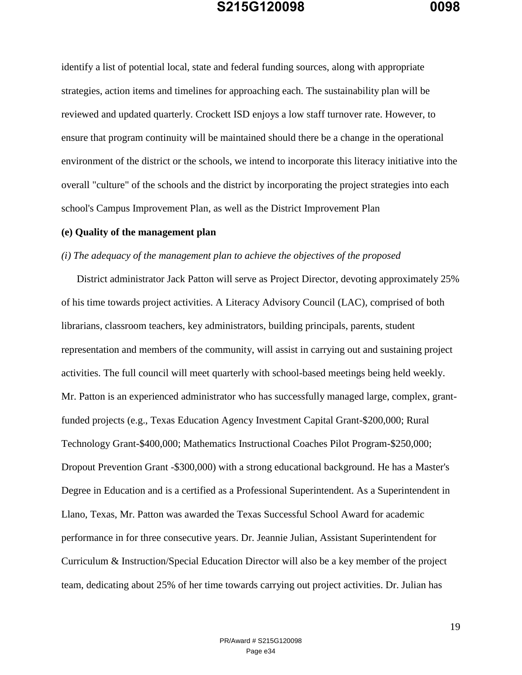identify a list of potential local, state and federal funding sources, along with appropriate strategies, action items and timelines for approaching each. The sustainability plan will be reviewed and updated quarterly. Crockett ISD enjoys a low staff turnover rate. However, to ensure that program continuity will be maintained should there be a change in the operational environment of the district or the schools, we intend to incorporate this literacy initiative into the overall "culture" of the schools and the district by incorporating the project strategies into each school's Campus Improvement Plan, as well as the District Improvement Plan

#### **(e) Quality of the management plan**

#### *(i) The adequacy of the management plan to achieve the objectives of the proposed*

District administrator Jack Patton will serve as Project Director, devoting approximately 25% of his time towards project activities. A Literacy Advisory Council (LAC), comprised of both librarians, classroom teachers, key administrators, building principals, parents, student representation and members of the community, will assist in carrying out and sustaining project activities. The full council will meet quarterly with school-based meetings being held weekly. Mr. Patton is an experienced administrator who has successfully managed large, complex, grantfunded projects (e.g., Texas Education Agency Investment Capital Grant-\$200,000; Rural Technology Grant-\$400,000; Mathematics Instructional Coaches Pilot Program-\$250,000; Dropout Prevention Grant -\$300,000) with a strong educational background. He has a Master's Degree in Education and is a certified as a Professional Superintendent. As a Superintendent in Llano, Texas, Mr. Patton was awarded the Texas Successful School Award for academic performance in for three consecutive years. Dr. Jeannie Julian, Assistant Superintendent for Curriculum & Instruction/Special Education Director will also be a key member of the project team, dedicating about 25% of her time towards carrying out project activities. Dr. Julian has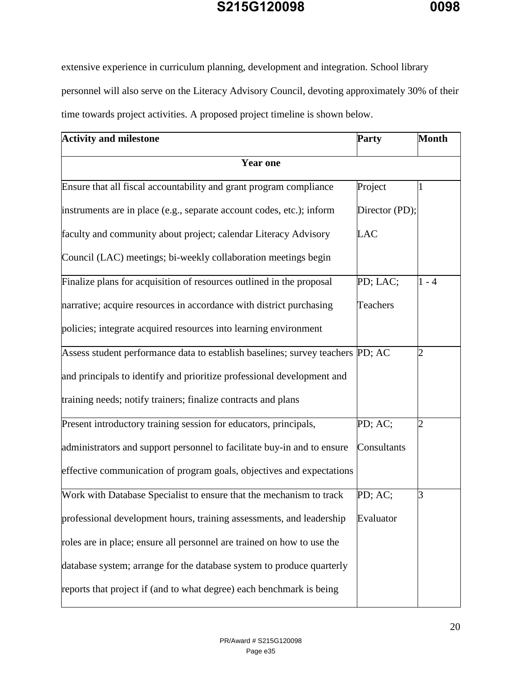

extensive experience in curriculum planning, development and integration. School library personnel will also serve on the Literacy Advisory Council, devoting approximately 30% of their time towards project activities. A proposed project timeline is shown below.

| <b>Activity and milestone</b>                                                  | Party           | <b>Month</b>   |
|--------------------------------------------------------------------------------|-----------------|----------------|
| <b>Year one</b>                                                                |                 |                |
| Ensure that all fiscal accountability and grant program compliance             | Project         |                |
| instruments are in place (e.g., separate account codes, etc.); inform          | Director (PD);  |                |
| faculty and community about project; calendar Literacy Advisory                | <b>LAC</b>      |                |
| Council (LAC) meetings; bi-weekly collaboration meetings begin                 |                 |                |
| Finalize plans for acquisition of resources outlined in the proposal           | PD; LAC;        | $1 - 4$        |
| narrative; acquire resources in accordance with district purchasing            | <b>Teachers</b> |                |
| policies; integrate acquired resources into learning environment               |                 |                |
| Assess student performance data to establish baselines; survey teachers PD; AC |                 |                |
| and principals to identify and prioritize professional development and         |                 |                |
| training needs; notify trainers; finalize contracts and plans                  |                 |                |
| Present introductory training session for educators, principals,               | PD; AC;         | $\overline{2}$ |
| administrators and support personnel to facilitate buy-in and to ensure        | Consultants     |                |
| effective communication of program goals, objectives and expectations          |                 |                |
| Work with Database Specialist to ensure that the mechanism to track            | PD; AC;         | 3              |
| professional development hours, training assessments, and leadership           | Evaluator       |                |
| roles are in place; ensure all personnel are trained on how to use the         |                 |                |
| database system; arrange for the database system to produce quarterly          |                 |                |
| reports that project if (and to what degree) each benchmark is being           |                 |                |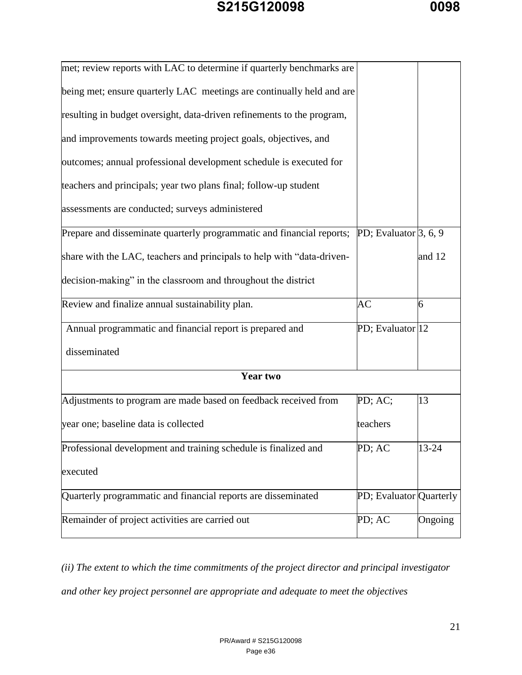### S215G120098

| met; review reports with LAC to determine if quarterly benchmarks are  |                                       |         |
|------------------------------------------------------------------------|---------------------------------------|---------|
| being met; ensure quarterly LAC meetings are continually held and are  |                                       |         |
| resulting in budget oversight, data-driven refinements to the program, |                                       |         |
| and improvements towards meeting project goals, objectives, and        |                                       |         |
| outcomes; annual professional development schedule is executed for     |                                       |         |
| teachers and principals; year two plans final; follow-up student       |                                       |         |
| assessments are conducted; surveys administered                        |                                       |         |
| Prepare and disseminate quarterly programmatic and financial reports;  | PD; Evaluator $\vert 3, 6, 9 \rangle$ |         |
| share with the LAC, teachers and principals to help with "data-driven- |                                       | and 12  |
| decision-making" in the classroom and throughout the district          |                                       |         |
| Review and finalize annual sustainability plan.                        | AC                                    | 6       |
| Annual programmatic and financial report is prepared and               | PD; Evaluator 12                      |         |
| disseminated                                                           |                                       |         |
| <b>Year two</b>                                                        |                                       |         |
| Adjustments to program are made based on feedback received from        | PD; AC;                               | 13      |
| year one; baseline data is collected                                   | teachers                              |         |
| Professional development and training schedule is finalized and        | PD; AC                                | 13-24   |
| executed                                                               |                                       |         |
| Quarterly programmatic and financial reports are disseminated          | PD; Evaluator Quarterly               |         |
| Remainder of project activities are carried out                        | PD; AC                                | Ongoing |

*(ii) The extent to which the time commitments of the project director and principal investigator and other key project personnel are appropriate and adequate to meet the objectives*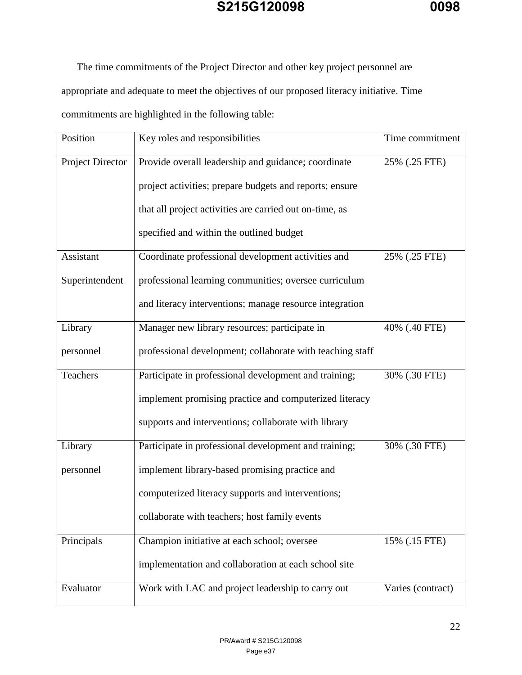

The time commitments of the Project Director and other key project personnel are appropriate and adequate to meet the objectives of our proposed literacy initiative. Time commitments are highlighted in the following table:

| Position         | Key roles and responsibilities                            | Time commitment   |
|------------------|-----------------------------------------------------------|-------------------|
| Project Director | Provide overall leadership and guidance; coordinate       | 25% (.25 FTE)     |
|                  | project activities; prepare budgets and reports; ensure   |                   |
|                  | that all project activities are carried out on-time, as   |                   |
|                  | specified and within the outlined budget                  |                   |
| Assistant        | Coordinate professional development activities and        | 25% (.25 FTE)     |
| Superintendent   | professional learning communities; oversee curriculum     |                   |
|                  | and literacy interventions; manage resource integration   |                   |
| Library          | Manager new library resources; participate in             | 40% (.40 FTE)     |
| personnel        | professional development; collaborate with teaching staff |                   |
| Teachers         | Participate in professional development and training;     | 30% (.30 FTE)     |
|                  | implement promising practice and computerized literacy    |                   |
|                  | supports and interventions; collaborate with library      |                   |
| Library          | Participate in professional development and training;     | 30% (.30 FTE)     |
| personnel        | implement library-based promising practice and            |                   |
|                  | computerized literacy supports and interventions;         |                   |
|                  | collaborate with teachers; host family events             |                   |
| Principals       | Champion initiative at each school; oversee               | 15% (.15 FTE)     |
|                  | implementation and collaboration at each school site      |                   |
| Evaluator        | Work with LAC and project leadership to carry out         | Varies (contract) |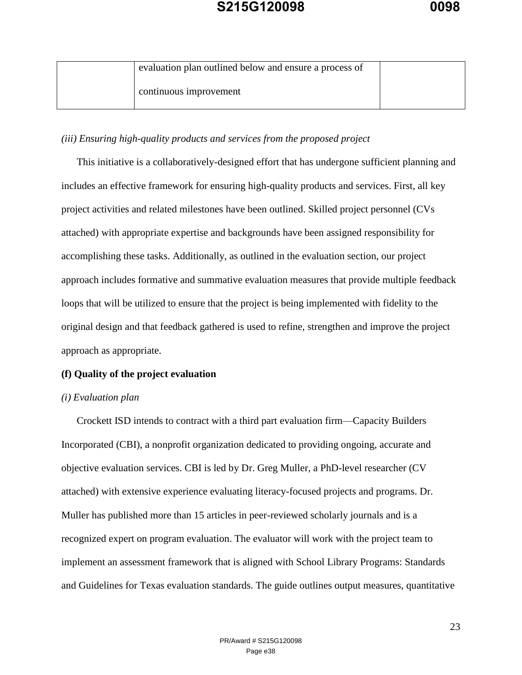| evaluation plan outlined below and ensure a process of |  |
|--------------------------------------------------------|--|
| continuous improvement                                 |  |

#### *(iii) Ensuring high-quality products and services from the proposed project*

This initiative is a collaboratively-designed effort that has undergone sufficient planning and includes an effective framework for ensuring high-quality products and services. First, all key project activities and related milestones have been outlined. Skilled project personnel (CVs attached) with appropriate expertise and backgrounds have been assigned responsibility for accomplishing these tasks. Additionally, as outlined in the evaluation section, our project approach includes formative and summative evaluation measures that provide multiple feedback loops that will be utilized to ensure that the project is being implemented with fidelity to the original design and that feedback gathered is used to refine, strengthen and improve the project approach as appropriate.

#### **(f) Quality of the project evaluation**

#### *(i) Evaluation plan*

Crockett ISD intends to contract with a third part evaluation firm—Capacity Builders Incorporated (CBI), a nonprofit organization dedicated to providing ongoing, accurate and objective evaluation services. CBI is led by Dr. Greg Muller, a PhD-level researcher (CV attached) with extensive experience evaluating literacy-focused projects and programs. Dr. Muller has published more than 15 articles in peer-reviewed scholarly journals and is a recognized expert on program evaluation. The evaluator will work with the project team to implement an assessment framework that is aligned with School Library Programs: Standards and Guidelines for Texas evaluation standards. The guide outlines output measures, quantitative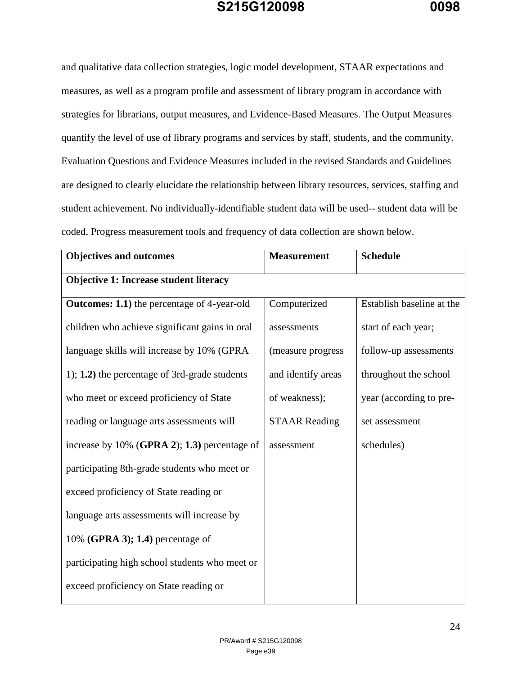and qualitative data collection strategies, logic model development, STAAR expectations and measures, as well as a program profile and assessment of library program in accordance with strategies for librarians, output measures, and Evidence-Based Measures. The Output Measures quantify the level of use of library programs and services by staff, students, and the community. Evaluation Questions and Evidence Measures included in the revised Standards and Guidelines are designed to clearly elucidate the relationship between library resources, services, staffing and student achievement. No individually-identifiable student data will be used-- student data will be coded. Progress measurement tools and frequency of data collection are shown below.

| <b>Objectives and outcomes</b>                      | <b>Measurement</b>   | <b>Schedule</b>           |  |
|-----------------------------------------------------|----------------------|---------------------------|--|
| <b>Objective 1: Increase student literacy</b>       |                      |                           |  |
| <b>Outcomes: 1.1</b> ) the percentage of 4-year-old | Computerized         | Establish baseline at the |  |
| children who achieve significant gains in oral      | assessments          | start of each year;       |  |
| language skills will increase by 10% (GPRA          | (measure progress    | follow-up assessments     |  |
| 1); $1.2$ ) the percentage of 3rd-grade students    | and identify areas   | throughout the school     |  |
| who meet or exceed proficiency of State             | of weakness);        | year (according to pre-   |  |
| reading or language arts assessments will           | <b>STAAR Reading</b> | set assessment            |  |
| increase by $10\%$ (GPRA 2); 1.3) percentage of     | assessment           | schedules)                |  |
| participating 8th-grade students who meet or        |                      |                           |  |
| exceed proficiency of State reading or              |                      |                           |  |
| language arts assessments will increase by          |                      |                           |  |
| 10% (GPRA 3); 1.4) percentage of                    |                      |                           |  |
| participating high school students who meet or      |                      |                           |  |
| exceed proficiency on State reading or              |                      |                           |  |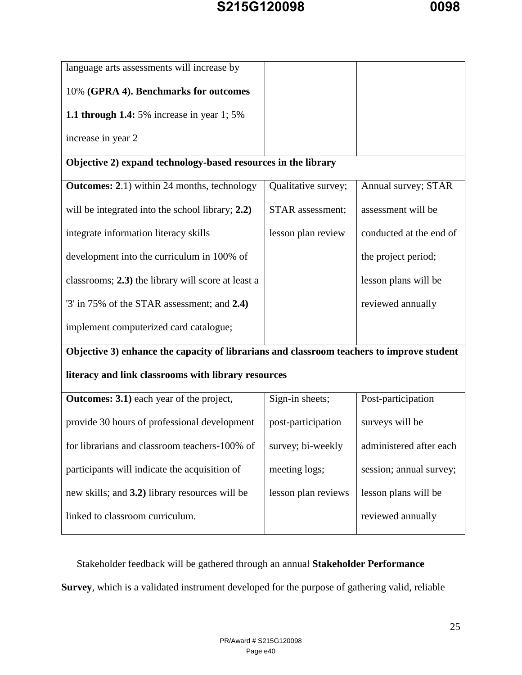| language arts assessments will increase by                                                |                     |                         |  |
|-------------------------------------------------------------------------------------------|---------------------|-------------------------|--|
| 10% (GPRA 4). Benchmarks for outcomes                                                     |                     |                         |  |
| <b>1.1 through 1.4:</b> 5% increase in year 1; 5%                                         |                     |                         |  |
| increase in year 2                                                                        |                     |                         |  |
| Objective 2) expand technology-based resources in the library                             |                     |                         |  |
| <b>Outcomes: 2.1)</b> within 24 months, technology                                        | Qualitative survey; | Annual survey; STAR     |  |
| will be integrated into the school library; 2.2)                                          | STAR assessment;    | assessment will be      |  |
| integrate information literacy skills                                                     | lesson plan review  | conducted at the end of |  |
| development into the curriculum in 100% of                                                |                     | the project period;     |  |
| classrooms; 2.3) the library will score at least a                                        |                     | lesson plans will be    |  |
| '3' in 75% of the STAR assessment; and 2.4)                                               |                     | reviewed annually       |  |
| implement computerized card catalogue;                                                    |                     |                         |  |
| Objective 3) enhance the capacity of librarians and classroom teachers to improve student |                     |                         |  |
| literacy and link classrooms with library resources                                       |                     |                         |  |
| <b>Outcomes: 3.1</b> ) each year of the project,                                          | Sign-in sheets;     | Post-participation      |  |
| provide 30 hours of professional development                                              | post-participation  | surveys will be         |  |
| for librarians and classroom teachers-100% of                                             | survey; bi-weekly   | administered after each |  |
| participants will indicate the acquisition of                                             | meeting logs;       | session; annual survey; |  |
| new skills; and 3.2) library resources will be                                            | lesson plan reviews | lesson plans will be    |  |
| linked to classroom curriculum.                                                           |                     | reviewed annually       |  |

Stakeholder feedback will be gathered through an annual **Stakeholder Performance Survey**, which is a validated instrument developed for the purpose of gathering valid, reliable